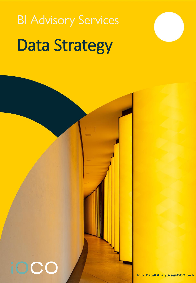# **BI Advisory Services** Data Strategy

iOCO

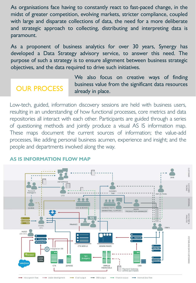As organisations face having to constantly react to fast-paced change, in the midst of greater competition, evolving markets, stricter compliance, coupled with large and disparate collections of data, the need for a more deliberate and strategic approach to collecting, distributing and interpreting data is paramount.

As a proponent of business analytics for over 30 years, Synergy has developed a Data Strategy advisory service, to answer this need. The purpose of such a strategy is to ensure alignment between business strategic objectives, and the data required to drive such initiatives.

We also focus on creative ways of finding **OUR PROCESS** business value from the significant data resources already in place.

Low-tech, guided, information discovery sessions are held with business users, resulting in an understanding of how functional processes, core metrics and data repositories all interact with each other. Participants are guided through a series of questioning methods and jointly produce a visual AS IS information map. These maps document the current sources of information; the value-add processes, like adding personal business acumen, experience and insight; and th[e](#page-2-0) people and departments involved along the way.



#### **AS IS INFORMATION FLOW MAP**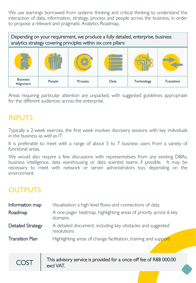<span id="page-2-0"></span>We use learnings borrowed from systems thinking and critical thinking to understand the interaction of data, information, strategy, process and people across the business, in order to propose a relevant and pragmatic Analytics Roadmap.

Depending on your requirement, we produce a fully detailed, enterprise, business analytics strategy covering principles within six core pillars: Business Alignment People | Process | Data | Technology | Transition

Areas requiring particular attention are unpacked, with suggested guidelines appropriate for the different audiences across the enterprise.

#### INPUTS

Typically a 2-week exercise, the first week involves discovery sessions with key individuals in the business as well as IT.

It is preferable to meet with a range of about 5 to 7 business users from a variety [of](#page-3-0) functional areas.

We would also require a few discussions with representatives from any existing DBAs, business intelligence, data warehousing or data scientist teams if possible. It may be necessary to meet with network or server administrators too, depending on the environment.

### OUTPUTS

| Information map          | Visualisation a high level flows and connections of data                    |
|--------------------------|-----------------------------------------------------------------------------|
| Roadmap                  | A one-pager heatmap, highlighting areas of priority across 6 key<br>domains |
| <b>Detailed Strategy</b> | A detailed document, including key obstacles and suggested<br>resolutions   |
| <b>Transition Plan</b>   | Highlighting areas of change facilitation, training and support             |

COST Filis advisory service is provided for a once-off fee of R88 000.00 excl VAT.